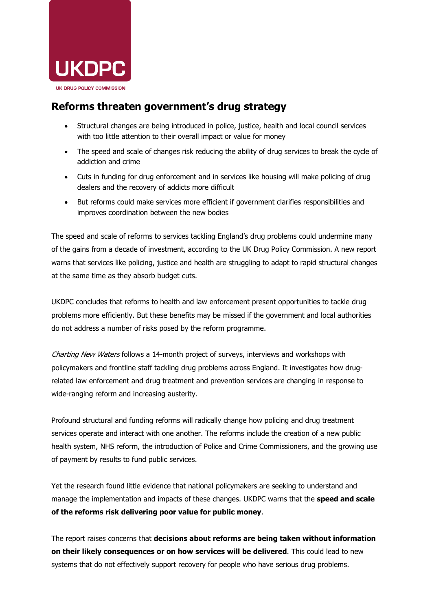

## **Reforms threaten government's drug strategy**

- Structural changes are being introduced in police, justice, health and local council services with too little attention to their overall impact or value for money
- The speed and scale of changes risk reducing the ability of drug services to break the cycle of addiction and crime
- Cuts in funding for drug enforcement and in services like housing will make policing of drug dealers and the recovery of addicts more difficult
- But reforms could make services more efficient if government clarifies responsibilities and improves coordination between the new bodies

The speed and scale of reforms to services tackling England's drug problems could undermine many of the gains from a decade of investment, according to the UK Drug Policy Commission. A new report warns that services like policing, justice and health are struggling to adapt to rapid structural changes at the same time as they absorb budget cuts.

UKDPC concludes that reforms to health and law enforcement present opportunities to tackle drug problems more efficiently. But these benefits may be missed if the government and local authorities do not address a number of risks posed by the reform programme.

Charting New Waters follows a 14-month project of surveys, interviews and workshops with policymakers and frontline staff tackling drug problems across England. It investigates how drugrelated law enforcement and drug treatment and prevention services are changing in response to wide-ranging reform and increasing austerity.

Profound structural and funding reforms will radically change how policing and drug treatment services operate and interact with one another. The reforms include the creation of a new public health system, NHS reform, the introduction of Police and Crime Commissioners, and the growing use of payment by results to fund public services.

Yet the research found little evidence that national policymakers are seeking to understand and manage the implementation and impacts of these changes. UKDPC warns that the **speed and scale of the reforms risk delivering poor value for public money**.

The report raises concerns that **decisions about reforms are being taken without information on their likely consequences or on how services will be delivered**. This could lead to new systems that do not effectively support recovery for people who have serious drug problems.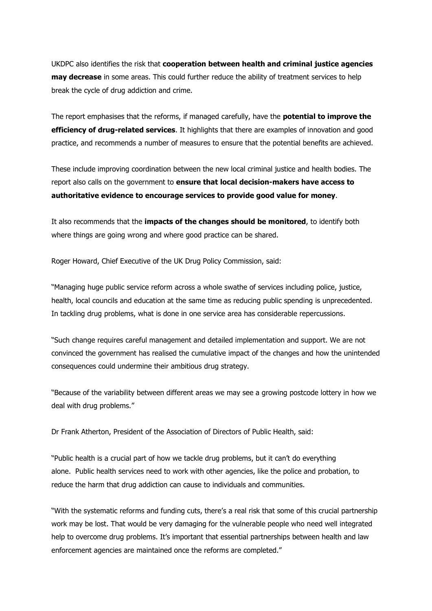UKDPC also identifies the risk that **cooperation between health and criminal justice agencies may decrease** in some areas. This could further reduce the ability of treatment services to help break the cycle of drug addiction and crime.

The report emphasises that the reforms, if managed carefully, have the **potential to improve the efficiency of drug-related services**. It highlights that there are examples of innovation and good practice, and recommends a number of measures to ensure that the potential benefits are achieved.

These include improving coordination between the new local criminal justice and health bodies. The report also calls on the government to **ensure that local decision-makers have access to authoritative evidence to encourage services to provide good value for money**.

It also recommends that the **impacts of the changes should be monitored**, to identify both where things are going wrong and where good practice can be shared.

Roger Howard, Chief Executive of the UK Drug Policy Commission, said:

"Managing huge public service reform across a whole swathe of services including police, justice, health, local councils and education at the same time as reducing public spending is unprecedented. In tackling drug problems, what is done in one service area has considerable repercussions.

"Such change requires careful management and detailed implementation and support. We are not convinced the government has realised the cumulative impact of the changes and how the unintended consequences could undermine their ambitious drug strategy.

"Because of the variability between different areas we may see a growing postcode lottery in how we deal with drug problems."

Dr Frank Atherton, President of the Association of Directors of Public Health, said:

"Public health is a crucial part of how we tackle drug problems, but it can't do everything alone. Public health services need to work with other agencies, like the police and probation, to reduce the harm that drug addiction can cause to individuals and communities.

"With the systematic reforms and funding cuts, there's a real risk that some of this crucial partnership work may be lost. That would be very damaging for the vulnerable people who need well integrated help to overcome drug problems. It's important that essential partnerships between health and law enforcement agencies are maintained once the reforms are completed."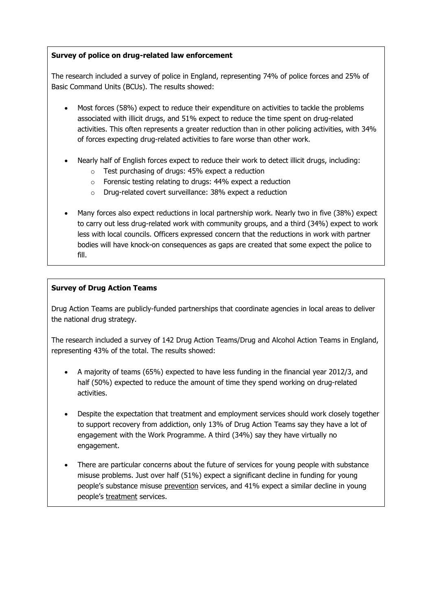## **Survey of police on drug-related law enforcement**

The research included a survey of police in England, representing 74% of police forces and 25% of Basic Command Units (BCUs). The results showed:

- Most forces (58%) expect to reduce their expenditure on activities to tackle the problems associated with illicit drugs, and 51% expect to reduce the time spent on drug-related activities. This often represents a greater reduction than in other policing activities, with 34% of forces expecting drug-related activities to fare worse than other work.
- Nearly half of English forces expect to reduce their work to detect illicit drugs, including:
	- o Test purchasing of drugs: 45% expect a reduction
	- o Forensic testing relating to drugs: 44% expect a reduction
	- o Drug-related covert surveillance: 38% expect a reduction
- Many forces also expect reductions in local partnership work. Nearly two in five (38%) expect to carry out less drug-related work with community groups, and a third (34%) expect to work less with local councils. Officers expressed concern that the reductions in work with partner bodies will have knock-on consequences as gaps are created that some expect the police to fill.

## **Survey of Drug Action Teams**

Drug Action Teams are publicly-funded partnerships that coordinate agencies in local areas to deliver the national drug strategy.

The research included a survey of 142 Drug Action Teams/Drug and Alcohol Action Teams in England, representing 43% of the total. The results showed:

- A majority of teams (65%) expected to have less funding in the financial year 2012/3, and half (50%) expected to reduce the amount of time they spend working on drug-related activities.
- Despite the expectation that treatment and employment services should work closely together to support recovery from addiction, only 13% of Drug Action Teams say they have a lot of engagement with the Work Programme. A third (34%) say they have virtually no engagement.
- There are particular concerns about the future of services for young people with substance misuse problems. Just over half (51%) expect a significant decline in funding for young people's substance misuse prevention services, and 41% expect a similar decline in young people's treatment services.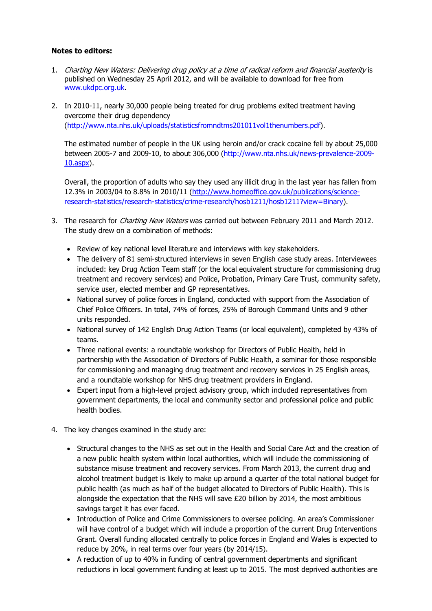## **Notes to editors:**

- 1. Charting New Waters: Delivering drug policy at a time of radical reform and financial austerity is published on Wednesday 25 April 2012, and will be available to download for free from www.ukdpc.org.uk.
- 2. In 2010-11, nearly 30,000 people being treated for drug problems exited treatment having overcome their drug dependency (http://www.nta.nhs.uk/uploads/statisticsfromndtms201011vol1thenumbers.pdf).

The estimated number of people in the UK using heroin and/or crack cocaine fell by about 25,000 between 2005-7 and 2009-10, to about 306,000 (http://www.nta.nhs.uk/news-prevalence-2009-10.aspx).

Overall, the proportion of adults who say they used any illicit drug in the last year has fallen from 12.3% in 2003/04 to 8.8% in 2010/11 (http://www.homeoffice.gov.uk/publications/scienceresearch-statistics/research-statistics/crime-research/hosb1211/hosb1211?view=Binary).

- 3. The research for *Charting New Waters* was carried out between February 2011 and March 2012. The study drew on a combination of methods:
	- Review of key national level literature and interviews with key stakeholders.
	- The delivery of 81 semi-structured interviews in seven English case study areas. Interviewees included: key Drug Action Team staff (or the local equivalent structure for commissioning drug treatment and recovery services) and Police, Probation, Primary Care Trust, community safety, service user, elected member and GP representatives.
	- National survey of police forces in England, conducted with support from the Association of Chief Police Officers. In total, 74% of forces, 25% of Borough Command Units and 9 other units responded.
	- National survey of 142 English Drug Action Teams (or local equivalent), completed by 43% of teams.
	- Three national events: a roundtable workshop for Directors of Public Health, held in partnership with the Association of Directors of Public Health, a seminar for those responsible for commissioning and managing drug treatment and recovery services in 25 English areas, and a roundtable workshop for NHS drug treatment providers in England.
	- Expert input from a high-level project advisory group, which included representatives from government departments, the local and community sector and professional police and public health bodies.
- 4. The key changes examined in the study are:
	- Structural changes to the NHS as set out in the Health and Social Care Act and the creation of a new public health system within local authorities, which will include the commissioning of substance misuse treatment and recovery services. From March 2013, the current drug and alcohol treatment budget is likely to make up around a quarter of the total national budget for public health (as much as half of the budget allocated to Directors of Public Health). This is alongside the expectation that the NHS will save  $£20$  billion by  $2014$ , the most ambitious savings target it has ever faced.
	- Introduction of Police and Crime Commissioners to oversee policing. An area's Commissioner will have control of a budget which will include a proportion of the current Drug Interventions Grant. Overall funding allocated centrally to police forces in England and Wales is expected to reduce by 20%, in real terms over four years (by 2014/15).
	- A reduction of up to 40% in funding of central government departments and significant reductions in local government funding at least up to 2015. The most deprived authorities are